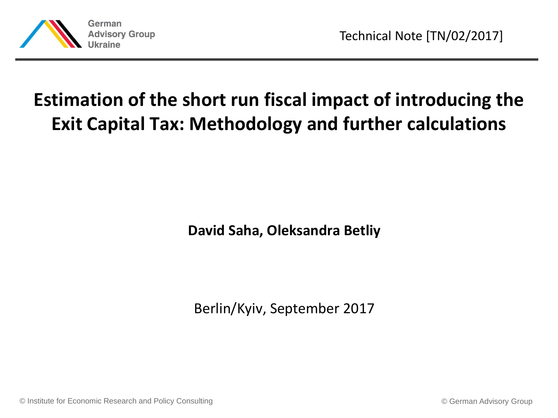

# **Estimation of the short run fiscal impact of introducing the Exit Capital Tax: Methodology and further calculations**

**David Saha, Oleksandra Betliy**

Berlin/Kyiv, September 2017

© Institute for Economic Research and Policy Consulting © German Advisory Group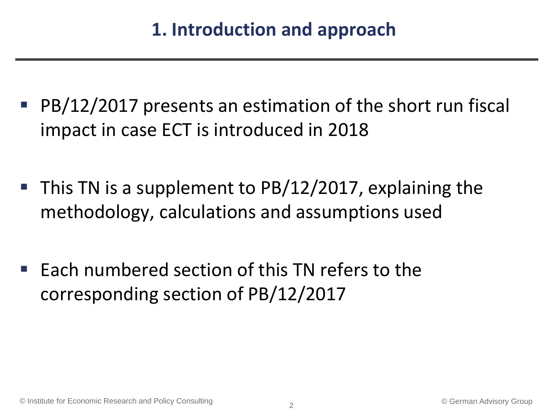- PB/12/2017 presents an estimation of the short run fiscal impact in case ECT is introduced in 2018
- This TN is a supplement to PB/12/2017, explaining the methodology, calculations and assumptions used
- $\blacksquare$  Each numbered section of this TN refers to the corresponding section of PB/12/2017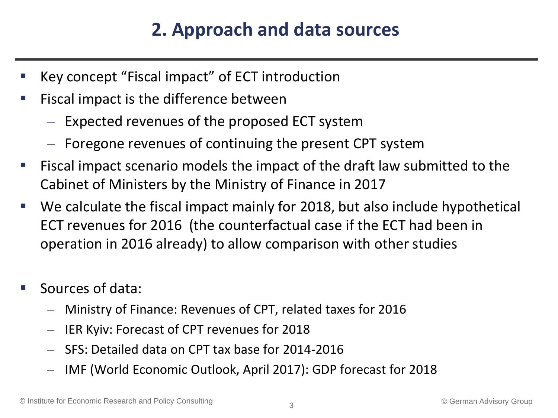## **2. Approach and data sources**

- Key concept "Fiscal impact" of ECT introduction
- Fiscal impact is the difference between
	- Expected revenues of the proposed ECT system
	- Foregone revenues of continuing the present CPT system
- Fiscal impact scenario models the impact of the draft law submitted to the Cabinet of Ministers by the Ministry of Finance in 2017
- We calculate the fiscal impact mainly for 2018, but also include hypothetical ECT revenues for 2016 (the counterfactual case if the ECT had been in operation in 2016 already) to allow comparison with other studies
- Sources of data:
	- Ministry of Finance: Revenues of CPT, related taxes for 2016
	- IER Kyiv: Forecast of CPT revenues for 2018
	- SFS: Detailed data on CPT tax base for 2014-2016
	- IMF (World Economic Outlook, April 2017): GDP forecast for 2018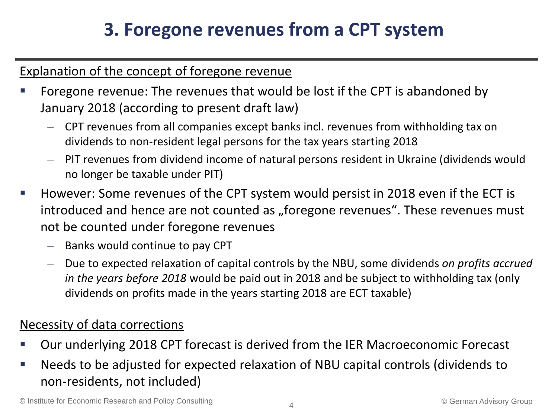#### Explanation of the concept of foregone revenue

- Foregone revenue: The revenues that would be lost if the CPT is abandoned by January 2018 (according to present draft law)
	- CPT revenues from all companies except banks incl. revenues from withholding tax on dividends to non-resident legal persons for the tax years starting 2018
	- PIT revenues from dividend income of natural persons resident in Ukraine (dividends would no longer be taxable under PIT)
- However: Some revenues of the CPT system would persist in 2018 even if the ECT is introduced and hence are not counted as "foregone revenues". These revenues must not be counted under foregone revenues
	- Banks would continue to pay CPT
	- Due to expected relaxation of capital controls by the NBU, some dividends *on profits accrued in the years before 2018* would be paid out in 2018 and be subject to withholding tax (only dividends on profits made in the years starting 2018 are ECT taxable)

#### Necessity of data corrections

- Our underlying 2018 CPT forecast is derived from the IER Macroeconomic Forecast
- Needs to be adjusted for expected relaxation of NBU capital controls (dividends to non-residents, not included)

© Institute for Economic Research and Policy Consulting © German Advisory Group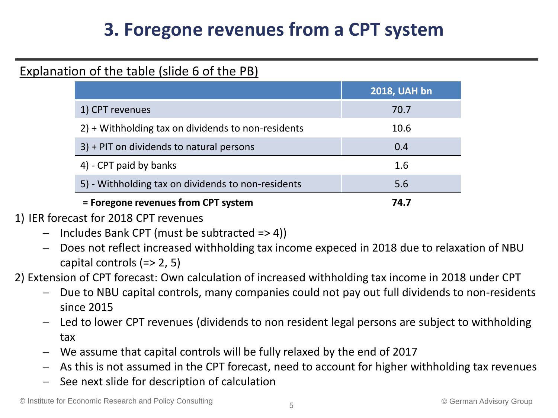#### Explanation of the table (slide 6 of the PB)

|                                                    | <b>2018, UAH bn</b> |
|----------------------------------------------------|---------------------|
| 1) CPT revenues                                    | 70.7                |
| 2) + Withholding tax on dividends to non-residents | 10.6                |
| 3) + PIT on dividends to natural persons           | 0.4                 |
| 4) - CPT paid by banks                             | 1.6                 |
| 5) - Withholding tax on dividends to non-residents | 5.6                 |
| = Foregone revenues from CPT system                | 74.7                |

#### 1) IER forecast for 2018 CPT revenues

- $-$  Includes Bank CPT (must be subtracted  $=$   $>$  4))
- Does not reflect increased withholding tax income expeced in 2018 due to relaxation of NBU capital controls (=> 2, 5)

2) Extension of CPT forecast: Own calculation of increased withholding tax income in 2018 under CPT

- Due to NBU capital controls, many companies could not pay out full dividends to non-residents since 2015
- Led to lower CPT revenues (dividends to non resident legal persons are subject to withholding tax
- We assume that capital controls will be fully relaxed by the end of 2017
- As this is not assumed in the CPT forecast, need to account for higher withholding tax revenues
- See next slide for description of calculation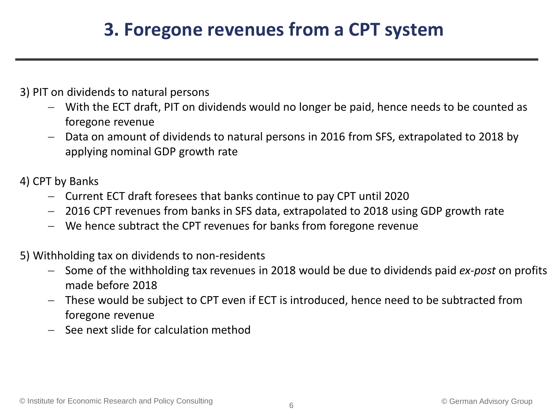#### 3) PIT on dividends to natural persons

- With the ECT draft, PIT on dividends would no longer be paid, hence needs to be counted as foregone revenue
- Data on amount of dividends to natural persons in 2016 from SFS, extrapolated to 2018 by applying nominal GDP growth rate

#### 4) CPT by Banks

- Current ECT draft foresees that banks continue to pay CPT until 2020
- 2016 CPT revenues from banks in SFS data, extrapolated to 2018 using GDP growth rate
- We hence subtract the CPT revenues for banks from foregone revenue

#### 5) Withholding tax on dividends to non-residents

- Some of the withholding tax revenues in 2018 would be due to dividends paid *ex-post* on profits made before 2018
- These would be subject to CPT even if ECT is introduced, hence need to be subtracted from foregone revenue
- See next slide for calculation method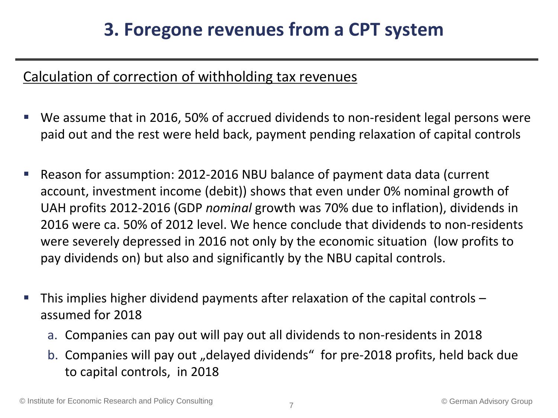#### Calculation of correction of withholding tax revenues

- We assume that in 2016, 50% of accrued dividends to non-resident legal persons were paid out and the rest were held back, payment pending relaxation of capital controls
- Reason for assumption: 2012-2016 NBU balance of payment data data (current account, investment income (debit)) shows that even under 0% nominal growth of UAH profits 2012-2016 (GDP *nominal* growth was 70% due to inflation), dividends in 2016 were ca. 50% of 2012 level. We hence conclude that dividends to non-residents were severely depressed in 2016 not only by the economic situation (low profits to pay dividends on) but also and significantly by the NBU capital controls.
- This implies higher dividend payments after relaxation of the capital controls assumed for 2018
	- a. Companies can pay out will pay out all dividends to non-residents in 2018
	- b. Companies will pay out "delayed dividends" for pre-2018 profits, held back due to capital controls, in 2018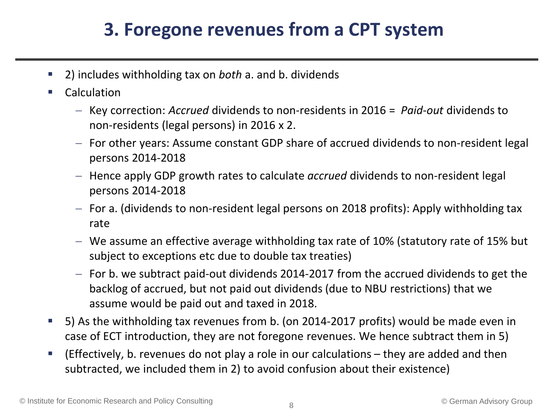- 2) includes withholding tax on *both* a. and b. dividends
- Calculation
	- Key correction: *Accrued* dividends to non-residents in 2016 = *Paid-out* dividends to non-residents (legal persons) in 2016 x 2.
	- For other years: Assume constant GDP share of accrued dividends to non-resident legal persons 2014-2018
	- $-$  Hence apply GDP growth rates to calculate *accrued* dividends to non-resident legal persons 2014-2018
	- $-$  For a. (dividends to non-resident legal persons on 2018 profits): Apply withholding tax rate
	- We assume an effective average withholding tax rate of 10% (statutory rate of 15% but subject to exceptions etc due to double tax treaties)
	- $-$  For b. we subtract paid-out dividends 2014-2017 from the accrued dividends to get the backlog of accrued, but not paid out dividends (due to NBU restrictions) that we assume would be paid out and taxed in 2018.
- 5) As the withholding tax revenues from b. (on 2014-2017 profits) would be made even in case of ECT introduction, they are not foregone revenues. We hence subtract them in 5)
- (Effectively, b. revenues do not play a role in our calculations they are added and then subtracted, we included them in 2) to avoid confusion about their existence)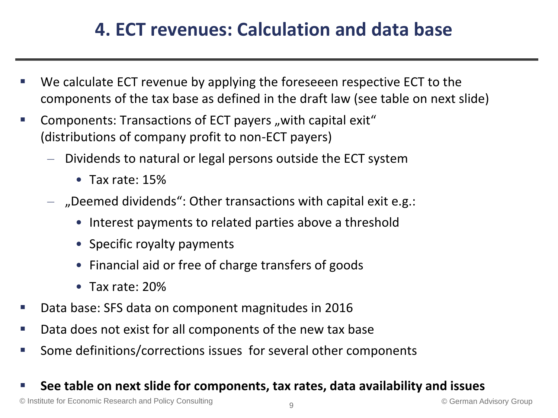## **4. ECT revenues: Calculation and data base**

- We calculate ECT revenue by applying the foreseeen respective ECT to the components of the tax base as defined in the draft law (see table on next slide)
- Components: Transactions of ECT payers "with capital exit" (distributions of company profit to non-ECT payers)
	- Dividends to natural or legal persons outside the ECT system
		- Tax rate: 15%
	- $-$  "Deemed dividends": Other transactions with capital exit e.g.:
		- Interest payments to related parties above a threshold
		- Specific royalty payments
		- Financial aid or free of charge transfers of goods
		- Tax rate: 20%
- Data base: SFS data on component magnitudes in 2016
- Data does not exist for all components of the new tax base
- Some definitions/corrections issues for several other components

#### **See table on next slide for components, tax rates, data availability and issues**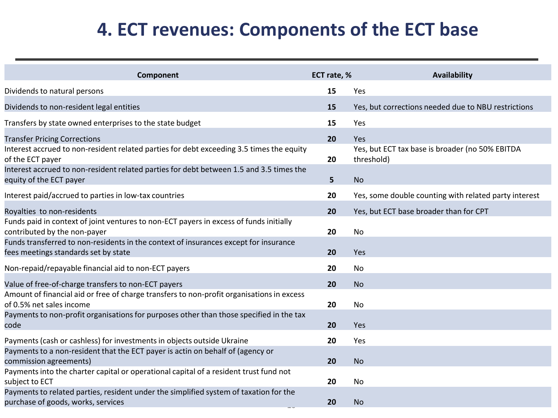### **4. ECT revenues: Components of the ECT base**

| Component                                                                                                                    | ECT rate, % | Availability                                                  |
|------------------------------------------------------------------------------------------------------------------------------|-------------|---------------------------------------------------------------|
| Dividends to natural persons                                                                                                 | 15          | Yes                                                           |
| Dividends to non-resident legal entities                                                                                     | 15          | Yes, but corrections needed due to NBU restrictions           |
| Transfers by state owned enterprises to the state budget                                                                     | 15          | Yes                                                           |
| <b>Transfer Pricing Corrections</b>                                                                                          | 20          | Yes                                                           |
| Interest accrued to non-resident related parties for debt exceeding 3.5 times the equity<br>of the ECT payer                 | 20          | Yes, but ECT tax base is broader (no 50% EBITDA<br>threshold) |
| Interest accrued to non-resident related parties for debt between 1.5 and 3.5 times the<br>equity of the ECT payer           | 5           | <b>No</b>                                                     |
| Interest paid/accrued to parties in low-tax countries                                                                        | 20          | Yes, some double counting with related party interest         |
| Royalties to non-residents                                                                                                   | 20          | Yes, but ECT base broader than for CPT                        |
| Funds paid in context of joint ventures to non-ECT payers in excess of funds initially<br>contributed by the non-payer       | 20          | <b>No</b>                                                     |
| Funds transferred to non-residents in the context of insurances except for insurance<br>fees meetings standards set by state | 20          | Yes                                                           |
| Non-repaid/repayable financial aid to non-ECT payers                                                                         | 20          | No                                                            |
| Value of free-of-charge transfers to non-ECT payers                                                                          | 20          | <b>No</b>                                                     |
| Amount of financial aid or free of charge transfers to non-profit organisations in excess<br>of 0.5% net sales income        | 20          | <b>No</b>                                                     |
| Payments to non-profit organisations for purposes other than those specified in the tax<br>code                              | 20          | Yes                                                           |
| Payments (cash or cashless) for investments in objects outside Ukraine                                                       | 20          | Yes                                                           |
| Payments to a non-resident that the ECT payer is actin on behalf of (agency or<br>commission agreements)                     | 20          | <b>No</b>                                                     |
| Payments into the charter capital or operational capital of a resident trust fund not<br>subject to ECT                      | 20          | No                                                            |
| Payments to related parties, resident under the simplified system of taxation for the<br>purchase of goods, works, services  | 20          | <b>No</b>                                                     |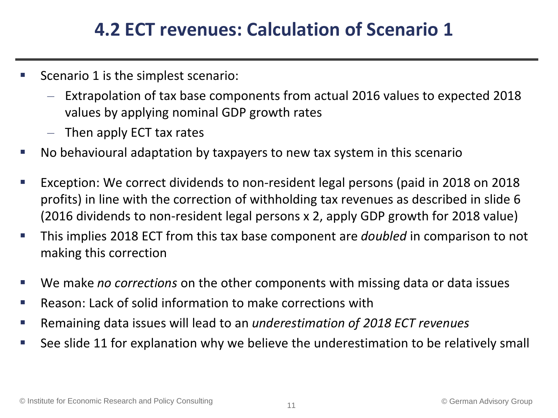### **4.2 ECT revenues: Calculation of Scenario 1**

- Scenario 1 is the simplest scenario:
	- Extrapolation of tax base components from actual 2016 values to expected 2018 values by applying nominal GDP growth rates
	- Then apply ECT tax rates
- No behavioural adaptation by taxpayers to new tax system in this scenario
- Exception: We correct dividends to non-resident legal persons (paid in 2018 on 2018 profits) in line with the correction of withholding tax revenues as described in slide 6 (2016 dividends to non-resident legal persons x 2, apply GDP growth for 2018 value)
- This implies 2018 ECT from this tax base component are *doubled* in comparison to not making this correction
- We make *no corrections* on the other components with missing data or data issues
- Reason: Lack of solid information to make corrections with
- Remaining data issues will lead to an *underestimation of 2018 ECT revenues*
- See slide 11 for explanation why we believe the underestimation to be relatively small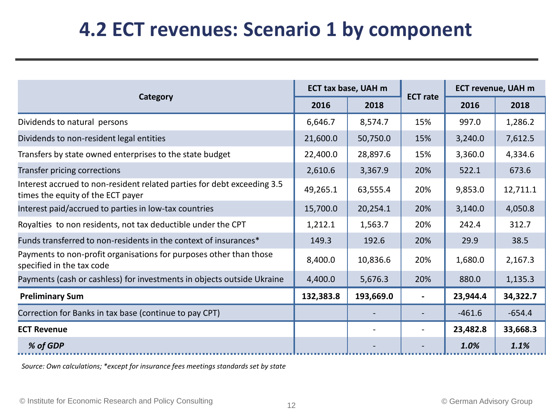# **4.2 ECT revenues: Scenario 1 by component**

|                                                                                                              | ECT tax base, UAH m |           |                          | <b>ECT revenue, UAH m</b> |          |
|--------------------------------------------------------------------------------------------------------------|---------------------|-----------|--------------------------|---------------------------|----------|
| Category                                                                                                     | 2016                | 2018      | <b>ECT</b> rate          | 2016                      | 2018     |
| Dividends to natural persons                                                                                 | 6,646.7             | 8,574.7   | 15%                      | 997.0                     | 1,286.2  |
| Dividends to non-resident legal entities                                                                     | 21,600.0            | 50,750.0  | 15%                      | 3,240.0                   | 7,612.5  |
| Transfers by state owned enterprises to the state budget                                                     | 22,400.0            | 28,897.6  | 15%                      | 3,360.0                   | 4,334.6  |
| Transfer pricing corrections                                                                                 | 2,610.6             | 3,367.9   | 20%                      | 522.1                     | 673.6    |
| Interest accrued to non-resident related parties for debt exceeding 3.5<br>times the equity of the ECT payer | 49,265.1            | 63,555.4  | 20%                      | 9,853.0                   | 12,711.1 |
| Interest paid/accrued to parties in low-tax countries                                                        | 15,700.0            | 20,254.1  | 20%                      | 3,140.0                   | 4,050.8  |
| Royalties to non residents, not tax deductible under the CPT                                                 | 1,212.1             | 1,563.7   | 20%                      | 242.4                     | 312.7    |
| Funds transferred to non-residents in the context of insurances*                                             | 149.3               | 192.6     | 20%                      | 29.9                      | 38.5     |
| Payments to non-profit organisations for purposes other than those<br>specified in the tax code              | 8,400.0             | 10,836.6  | 20%                      | 1,680.0                   | 2,167.3  |
| Payments (cash or cashless) for investments in objects outside Ukraine                                       | 4,400.0             | 5,676.3   | 20%                      | 880.0                     | 1,135.3  |
| <b>Preliminary Sum</b>                                                                                       | 132,383.8           | 193,669.0 | $\overline{\phantom{0}}$ | 23,944.4                  | 34,322.7 |
| Correction for Banks in tax base (continue to pay CPT)                                                       |                     |           |                          | $-461.6$                  | $-654.4$ |
| <b>ECT Revenue</b>                                                                                           |                     |           |                          | 23,482.8                  | 33,668.3 |
| % of GDP                                                                                                     |                     |           |                          | 1.0%                      | 1.1%     |

*Source: Own calculations; \*except for insurance fees meetings standards set by state*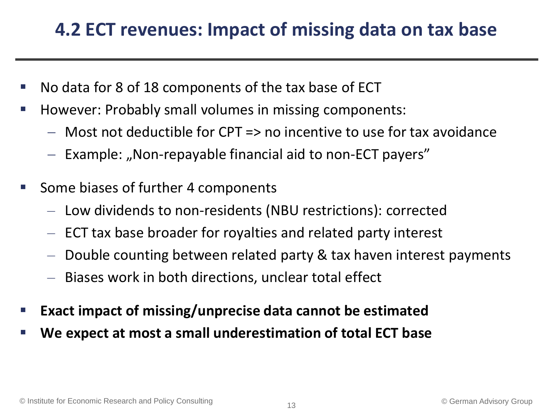### **4.2 ECT revenues: Impact of missing data on tax base**

- No data for 8 of 18 components of the tax base of ECT
- However: Probably small volumes in missing components:
	- $-$  Most not deductible for CPT => no incentive to use for tax avoidance
	- Example: "Non-repayable financial aid to non-ECT payers"
- Some biases of further 4 components
	- Low dividends to non-residents (NBU restrictions): corrected
	- ECT tax base broader for royalties and related party interest
	- Double counting between related party & tax haven interest payments
	- Biases work in both directions, unclear total effect
- **Exact impact of missing/unprecise data cannot be estimated**
- **We expect at most a small underestimation of total ECT base**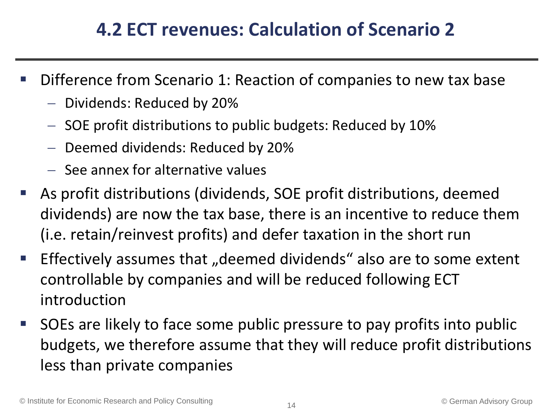### **4.2 ECT revenues: Calculation of Scenario 2**

- Difference from Scenario 1: Reaction of companies to new tax base
	- Dividends: Reduced by 20%
	- $-$  SOE profit distributions to public budgets: Reduced by 10%
	- Deemed dividends: Reduced by 20%
	- $-$  See annex for alternative values
- As profit distributions (dividends, SOE profit distributions, deemed dividends) are now the tax base, there is an incentive to reduce them (i.e. retain/reinvest profits) and defer taxation in the short run
- **Effectively assumes that "deemed dividends" also are to some extent** controllable by companies and will be reduced following ECT introduction
- **SOEs are likely to face some public pressure to pay profits into public** budgets, we therefore assume that they will reduce profit distributions less than private companies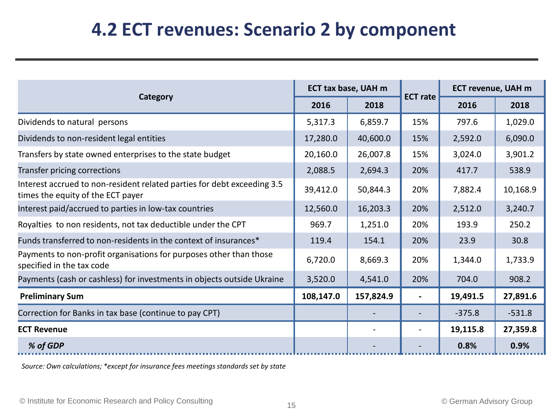#### **4.2 ECT revenues: Scenario 2 by component**

|                                                                                                              | ECT tax base, UAH m |           |                 | <b>ECT revenue, UAH m</b> |          |
|--------------------------------------------------------------------------------------------------------------|---------------------|-----------|-----------------|---------------------------|----------|
| Category                                                                                                     | 2016                | 2018      | <b>ECT rate</b> | 2016                      | 2018     |
| Dividends to natural persons                                                                                 | 5,317.3             | 6,859.7   | 15%             | 797.6                     | 1,029.0  |
| Dividends to non-resident legal entities                                                                     | 17,280.0            | 40,600.0  | 15%             | 2,592.0                   | 6,090.0  |
| Transfers by state owned enterprises to the state budget                                                     | 20,160.0            | 26,007.8  | 15%             | 3,024.0                   | 3,901.2  |
| Transfer pricing corrections                                                                                 | 2,088.5             | 2,694.3   | 20%             | 417.7                     | 538.9    |
| Interest accrued to non-resident related parties for debt exceeding 3.5<br>times the equity of the ECT payer | 39,412.0            | 50,844.3  | 20%             | 7,882.4                   | 10,168.9 |
| Interest paid/accrued to parties in low-tax countries                                                        | 12,560.0            | 16,203.3  | 20%             | 2,512.0                   | 3,240.7  |
| Royalties to non residents, not tax deductible under the CPT                                                 | 969.7               | 1,251.0   | 20%             | 193.9                     | 250.2    |
| Funds transferred to non-residents in the context of insurances*                                             | 119.4               | 154.1     | 20%             | 23.9                      | 30.8     |
| Payments to non-profit organisations for purposes other than those<br>specified in the tax code              | 6,720.0             | 8,669.3   | 20%             | 1,344.0                   | 1,733.9  |
| Payments (cash or cashless) for investments in objects outside Ukraine                                       | 3,520.0             | 4,541.0   | 20%             | 704.0                     | 908.2    |
| <b>Preliminary Sum</b>                                                                                       | 108,147.0           | 157,824.9 |                 | 19,491.5                  | 27,891.6 |
| Correction for Banks in tax base (continue to pay CPT)                                                       |                     |           |                 | $-375.8$                  | $-531.8$ |
| <b>ECT Revenue</b>                                                                                           |                     |           |                 | 19,115.8                  | 27,359.8 |
| % of GDP                                                                                                     |                     |           |                 | 0.8%                      | 0.9%     |

*Source: Own calculations; \*except for insurance fees meetings standards set by state*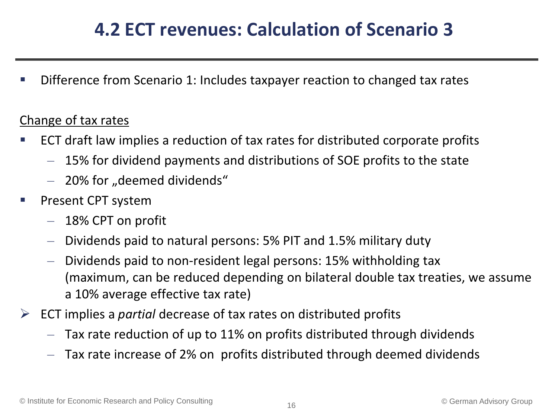## **4.2 ECT revenues: Calculation of Scenario 3**

Difference from Scenario 1: Includes taxpayer reaction to changed tax rates

#### Change of tax rates

- ECT draft law implies a reduction of tax rates for distributed corporate profits
	- 15% for dividend payments and distributions of SOE profits to the state
	- $-$  20% for "deemed dividends"
- Present CPT system
	- 18% CPT on profit
	- Dividends paid to natural persons: 5% PIT and 1.5% military duty
	- Dividends paid to non-resident legal persons: 15% withholding tax (maximum, can be reduced depending on bilateral double tax treaties, we assume a 10% average effective tax rate)
- ECT implies a *partial* decrease of tax rates on distributed profits
	- Tax rate reduction of up to 11% on profits distributed through dividends
	- Tax rate increase of 2% on profits distributed through deemed dividends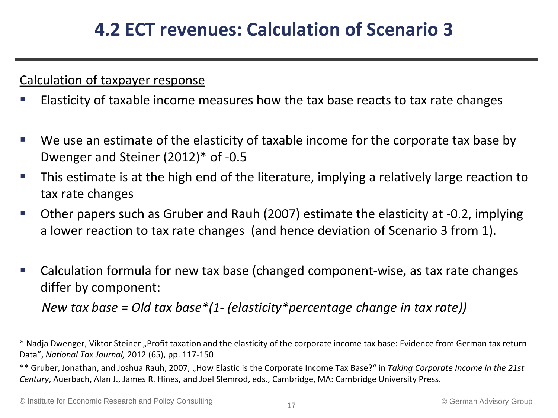#### Calculation of taxpayer response

- Elasticity of taxable income measures how the tax base reacts to tax rate changes
- We use an estimate of the elasticity of taxable income for the corporate tax base by Dwenger and Steiner (2012)\* of -0.5
- This estimate is at the high end of the literature, implying a relatively large reaction to tax rate changes
- Other papers such as Gruber and Rauh (2007) estimate the elasticity at -0.2, implying a lower reaction to tax rate changes (and hence deviation of Scenario 3 from 1).
- Calculation formula for new tax base (changed component-wise, as tax rate changes differ by component:

 *New tax base = Old tax base\*(1- (elasticity\*percentage change in tax rate))* 

\* Nadja Dwenger, Viktor Steiner "Profit taxation and the elasticity of the corporate income tax base: Evidence from German tax return Data", *National Tax Journal,* 2012 (65), pp. 117-150

\*\* Gruber, Jonathan, and Joshua Rauh, 2007, "How Elastic is the Corporate Income Tax Base?" in *Taking Corporate Income in the 21st Century*, Auerbach, Alan J., James R. Hines, and Joel Slemrod, eds., Cambridge, MA: Cambridge University Press.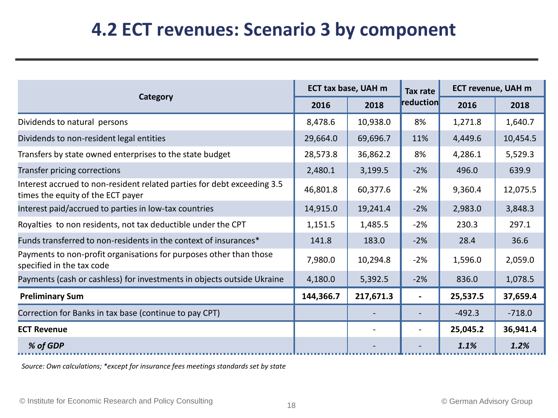#### **4.2 ECT revenues: Scenario 3 by component**

|                                                                                                              | ECT tax base, UAH m |           | Tax rate       | <b>ECT revenue, UAH m</b> |          |
|--------------------------------------------------------------------------------------------------------------|---------------------|-----------|----------------|---------------------------|----------|
| Category                                                                                                     | 2016                | 2018      | reduction      | 2016                      | 2018     |
| Dividends to natural persons                                                                                 | 8,478.6             | 10,938.0  | 8%             | 1,271.8                   | 1,640.7  |
| Dividends to non-resident legal entities                                                                     | 29,664.0            | 69,696.7  | 11%            | 4,449.6                   | 10,454.5 |
| Transfers by state owned enterprises to the state budget                                                     | 28,573.8            | 36,862.2  | 8%             | 4,286.1                   | 5,529.3  |
| Transfer pricing corrections                                                                                 | 2,480.1             | 3,199.5   | $-2%$          | 496.0                     | 639.9    |
| Interest accrued to non-resident related parties for debt exceeding 3.5<br>times the equity of the ECT payer | 46,801.8            | 60,377.6  | $-2%$          | 9,360.4                   | 12,075.5 |
| Interest paid/accrued to parties in low-tax countries                                                        | 14,915.0            | 19,241.4  | $-2%$          | 2,983.0                   | 3,848.3  |
| Royalties to non residents, not tax deductible under the CPT                                                 | 1,151.5             | 1,485.5   | $-2%$          | 230.3                     | 297.1    |
| Funds transferred to non-residents in the context of insurances*                                             | 141.8               | 183.0     | $-2%$          | 28.4                      | 36.6     |
| Payments to non-profit organisations for purposes other than those<br>specified in the tax code              | 7,980.0             | 10,294.8  | $-2%$          | 1,596.0                   | 2,059.0  |
| Payments (cash or cashless) for investments in objects outside Ukraine                                       | 4,180.0             | 5,392.5   | $-2%$          | 836.0                     | 1,078.5  |
| <b>Preliminary Sum</b>                                                                                       | 144,366.7           | 217,671.3 | $\blacksquare$ | 25,537.5                  | 37,659.4 |
| Correction for Banks in tax base (continue to pay CPT)                                                       |                     |           |                | $-492.3$                  | $-718.0$ |
| <b>ECT Revenue</b>                                                                                           |                     |           |                | 25,045.2                  | 36,941.4 |
| % of GDP                                                                                                     |                     |           |                | 1.1%                      | 1.2%     |

*Source: Own calculations; \*except for insurance fees meetings standards set by state*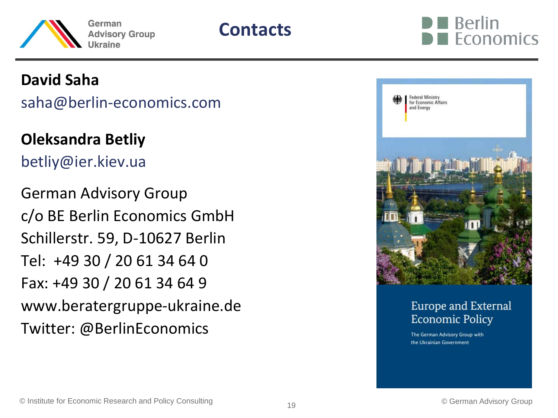



#### **David Saha**

saha@berlin-economics.com

**Oleksandra Betliy**

betliy@ier.kiev.ua

German Advisory Group c/o BE Berlin Economics GmbH Schillerstr. 59, D-10627 Berlin Tel: +49 30 / 20 61 34 64 0 Fax: +49 30 / 20 61 34 64 9 www.beratergruppe-ukraine.de Twitter: @BerlinEconomics



#### Europe and External **Economic Policy**

The German Advisory Group with the Ukrainian Government